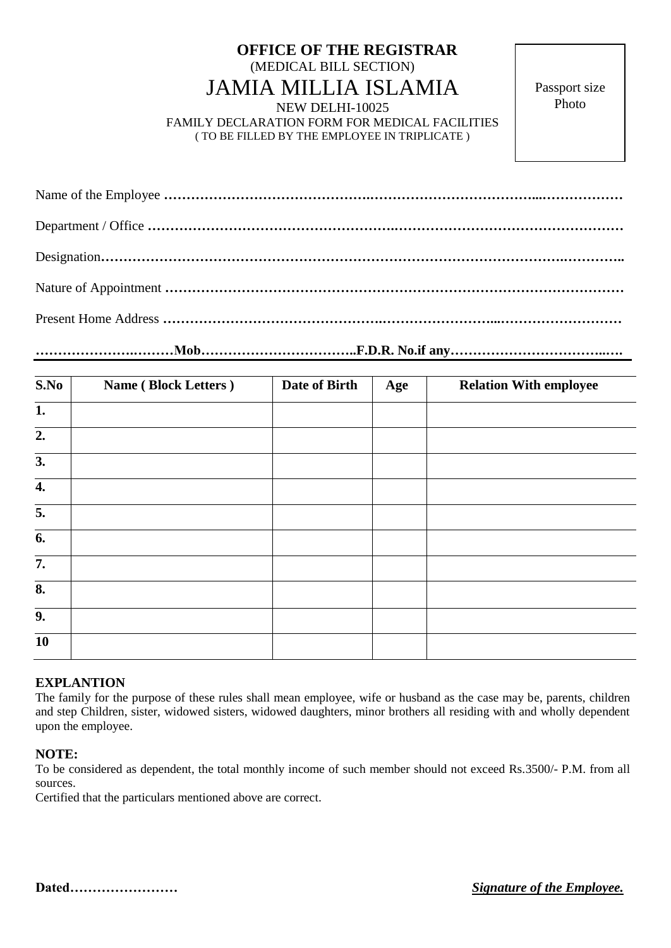## **OFFICE OF THE REGISTRAR** (MEDICAL BILL SECTION) JAMIA MILLIA ISLAMIA NEW DELHI-10025

FAMILY DECLARATION FORM FOR MEDICAL FACILITIES ( TO BE FILLED BY THE EMPLOYEE IN TRIPLICATE )

Passport size Photo

**………………….………Mob……………………………..F.D.R. No.if any……………………………..….**

| <b>Name (Block Letters)</b> | Date of Birth | Age | <b>Relation With employee</b> |
|-----------------------------|---------------|-----|-------------------------------|
|                             |               |     |                               |
|                             |               |     |                               |
|                             |               |     |                               |
|                             |               |     |                               |
|                             |               |     |                               |
|                             |               |     |                               |
|                             |               |     |                               |
|                             |               |     |                               |
|                             |               |     |                               |
|                             |               |     |                               |
|                             |               |     |                               |

## **EXPLANTION**

The family for the purpose of these rules shall mean employee, wife or husband as the case may be, parents, children and step Children, sister, widowed sisters, widowed daughters, minor brothers all residing with and wholly dependent upon the employee.

## **NOTE:**

To be considered as dependent, the total monthly income of such member should not exceed Rs.3500/- P.M. from all sources.

Certified that the particulars mentioned above are correct.

**Dated……………………** *Signature of the Employee.*